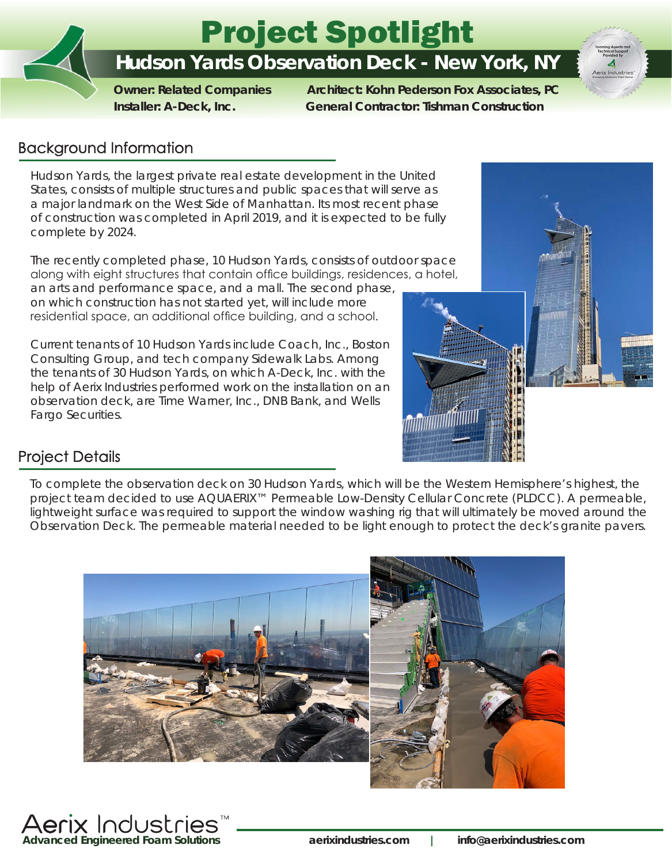# Project Spotlight

# **Hudson Yards Observation Deck - New York, NY**

 **Owner: Related Companies Architect: Kohn Pederson Fox Associates, PC Installer: A-Deck, Inc. General Contractor: Tishman Construction**

## **Background Information**

Hudson Yards, the largest private real estate development in the United States, consists of multiple structures and public spaces that will serve as a major landmark on the West Side of Manhattan. Its most recent phase of construction was completed in April 2019, and it is expected to be fully complete by 2024.

The recently completed phase, 10 Hudson Yards, consists of outdoor space along with eight structures that contain office buildings, residences, a hotel,

an arts and performance space, and a mall. The second phase, on which construction has not started yet, will include more residential space, an additional office building, and a school.

Current tenants of 10 Hudson Yards include Coach, Inc., Boston Consulting Group, and tech company Sidewalk Labs. Among the tenants of 30 Hudson Yards, on which A-Deck, Inc. with the help of Aerix Industries performed work on the installation on an observation deck, are Time Warner, Inc., DNB Bank, and Wells Fargo Securities.



## **Project Details**

To complete the observation deck on 30 Hudson Yards, which will be the Western Hemisphere's highest, the project team decided to use AQUAERIX™ Permeable Low-Density Cellular Concrete (PLDCC). A permeable, lightweight surface was required to support the window washing rig that will ultimately be moved around the Observation Deck. The permeable material needed to be light enough to protect the deck's granite pavers.